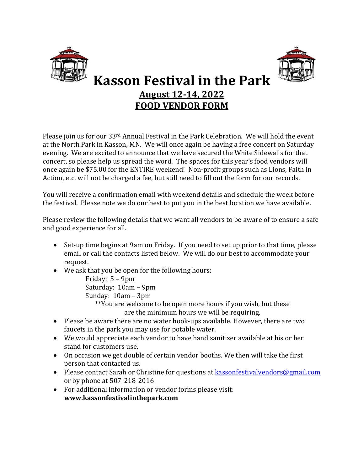



## **Kasson Festival in the Park August 12-14, 2022 FOOD VENDOR FORM**

Please join us for our 33rd Annual Festival in the Park Celebration. We will hold the event at the North Park in Kasson, MN. We will once again be having a free concert on Saturday evening. We are excited to announce that we have secured the White Sidewalls for that concert, so please help us spread the word. The spaces for this year's food vendors will once again be \$75.00 for the ENTIRE weekend! Non-profit groups such as Lions, Faith in Action, etc. will not be charged a fee, but still need to fill out the form for our records.

You will receive a confirmation email with weekend details and schedule the week before the festival. Please note we do our best to put you in the best location we have available.

Please review the following details that we want all vendors to be aware of to ensure a safe and good experience for all.

- Set-up time begins at 9am on Friday. If you need to set up prior to that time, please email or call the contacts listed below. We will do our best to accommodate your request.
- We ask that you be open for the following hours:

Friday: 5 – 9pm Saturday: 10am – 9pm Sunday: 10am – 3pm

\*\*You are welcome to be open more hours if you wish, but these are the minimum hours we will be requiring.

- Please be aware there are no water hook-ups available. However, there are two faucets in the park you may use for potable water.
- We would appreciate each vendor to have hand sanitizer available at his or her stand for customers use.
- On occasion we get double of certain vendor booths. We then will take the first person that contacted us.
- Please contact Sarah or Christine for questions at **kassonfestivalvendors@gmail.com** or by phone at 507-218-2016
- For additional information or vendor forms please visit: **www.kassonfestivalinthepark.com**